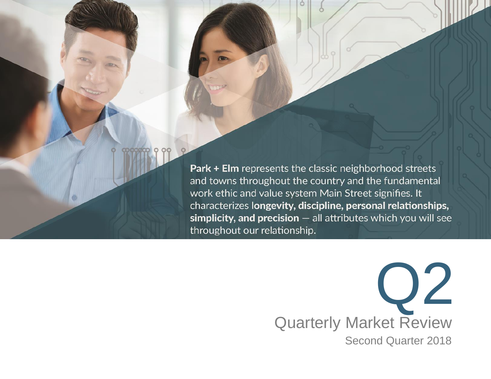**Park + Elm** represents the classic neighborhood streets and towns throughout the country and the fundamental work ethic and value system Main Street signifies. It characterizes longevity, discipline, personal relationships,  $s$ implicity, and precision  $-$  all attributes which you will see throughout our relationship.

> Q2 Quarterly Market Review Second Quarter 2018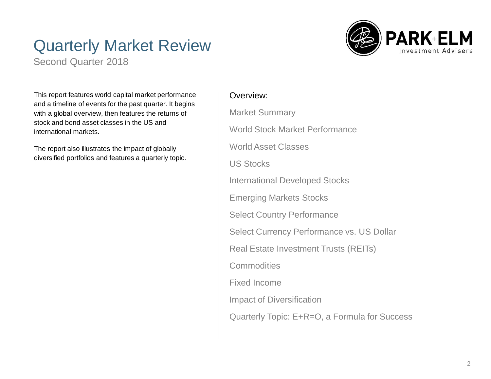# Quarterly Market Review

Second Quarter 2018



This report features world capital market performance and a timeline of events for the past quarter. It begins with a global overview, then features the returns of stock and bond asset classes in the US and international markets.

The report also illustrates the impact of globally diversified portfolios and features a quarterly topic.

### Overview:

Market Summary World Stock Market Performance World Asset Classes US Stocks International Developed Stocks Emerging Markets Stocks Select Country Performance Select Currency Performance vs. US Dollar Real Estate Investment Trusts (REITs) **Commodities** Fixed Income Impact of Diversification Quarterly Topic: E+R=O, a Formula for Success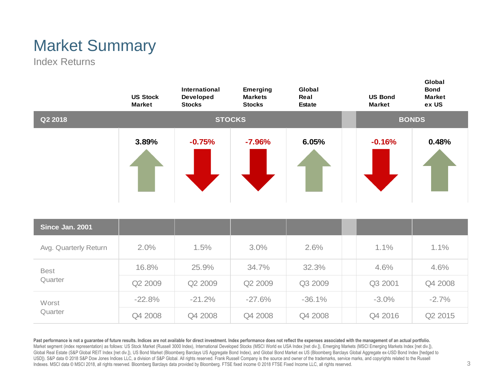# Market Summary

Index Returns



Past performance is not a guarantee of future results. Indices are not available for direct investment. Index performance does not reflect the expenses associated with the management of an actual portfolio. Market segment (index representation) as follows: US Stock Market (Russell 3000 Index), International Developed Stocks (MSCI World ex USA Index [net div.]), Emerging Markets (MSCI Emerging Markets Index [net div.]), Global Real Estate (S&P Global REIT Index [net div.]), US Bond Market (Bloomberg Barclays US Aggregate Bond Index), and Global Bond Market ex US (Bloomberg Barclays Global Aggregate ex-USD Bond Index [hedged to USD]). S&P data © 2018 S&P Dow Jones Indices LLC, a division of S&P Global. All rights reserved. Frank Russell Company is the source and owner of the trademarks, service marks, and copyrights related to the Russell Indexes. MSCI data © MSCI 2018, all rights reserved. Bloomberg Barclays data provided by Bloomberg. FTSE fixed income © 2018 FTSE Fixed Income LLC, all rights reserved.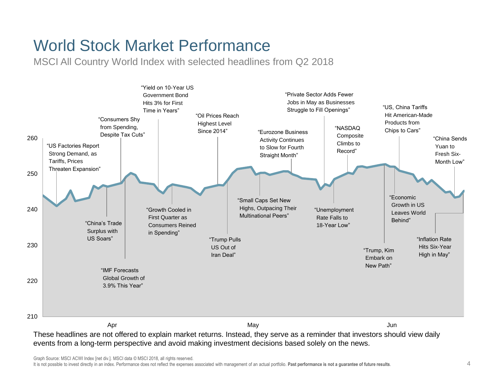# World Stock Market Performance

MSCI All Country World Index with selected headlines from Q2 2018



These headlines are not offered to explain market returns. Instead, they serve as a reminder that investors should view daily events from a long-term perspective and avoid making investment decisions based solely on the news.

Graph Source: MSCI ACWI Index [net div.]. MSCI data © MSCI 2018, all rights reserved.

It is not possible to invest directly in an index. Performance does not reflect the expenses associated with management of an actual portfolio. **Past performance is not a guarantee of future results**.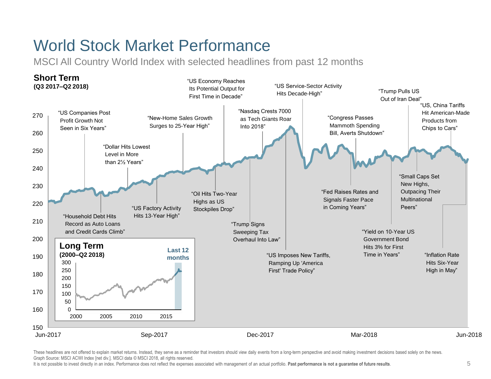# World Stock Market Performance

MSCI All Country World Index with selected headlines from past 12 months



These headlines are not offered to explain market returns. Instead, they serve as a reminder that investors should view daily events from a long-term perspective and avoid making investment decisions based solely on the ne Graph Source: MSCI ACWI Index [net div.]. MSCI data © MSCI 2018, all rights reserved.

It is not possible to invest directly in an index. Performance does not reflect the expenses associated with management of an actual portfolio. **Past performance is not a guarantee of future results**.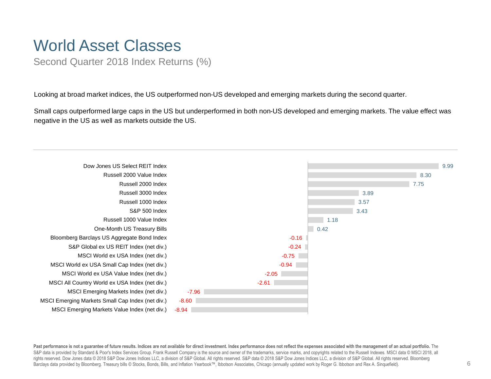## World Asset Classes

Second Quarter 2018 Index Returns (%)

Looking at broad market indices, the US outperformed non-US developed and emerging markets during the second quarter.

Small caps outperformed large caps in the US but underperformed in both non-US developed and emerging markets. The value effect was negative in the US as well as markets outside the US.



Past performance is not a quarantee of future results. Indices are not available for direct investment. Index performance does not reflect the expenses associated with the management of an actual portfolio. The S&P data is provided by Standard & Poor's Index Services Group. Frank Russell Company is the source and owner of the trademarks, service marks, and copyrights related to the Russell Indexes. MSCI data © MSCI 2018, all rights reserved. Dow Jones data © 2018 S&P Dow Jones Indices LLC, a division of S&P Global. All rights reserved. S&P data © 2018 S&P Dow Jones Indices LLC, a division of S&P Global. All rights reserved. Barclays data provided by Bloomberg. Treasury bills © Stocks, Bonds, Bills, and Inflation Yearbook™, Ibbotson Associates, Chicago (annually updated work by Roger G. Ibbotson and Rex A. Sinquefield).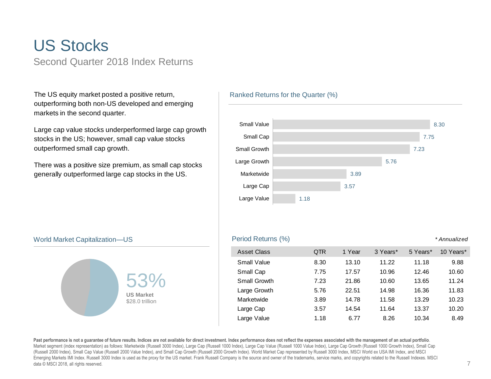## US Stocks Second Quarter 2018 Index Returns

The US equity market posted a positive return, outperforming both non-US developed and emerging markets in the second quarter.

Large cap value stocks underperformed large cap growth stocks in the US; however, small cap value stocks outperformed small cap growth.

There was a positive size premium, as small cap stocks generally outperformed large cap stocks in the US.

### Ranked Returns for the Quarter (%)



#### World Market Capitalization—US



### Period Returns (%) *\* Annualized*

| <b>Asset Class</b>  | QTR  | 1 Year | 3 Years* | 5 Years* | 10 Years* |
|---------------------|------|--------|----------|----------|-----------|
| <b>Small Value</b>  | 8.30 | 13.10  | 11.22    | 11.18    | 9.88      |
| Small Cap           | 7.75 | 17.57  | 10.96    | 12.46    | 10.60     |
| <b>Small Growth</b> | 7.23 | 21.86  | 10.60    | 13.65    | 11.24     |
| Large Growth        | 5.76 | 22.51  | 14.98    | 16.36    | 11.83     |
| Marketwide          | 3.89 | 14.78  | 11.58    | 13.29    | 10.23     |
| Large Cap           | 3.57 | 14.54  | 11.64    | 13.37    | 10.20     |
| Large Value         | 1.18 | 6.77   | 8.26     | 10.34    | 8.49      |

**Past performance is not a guarantee of future results. Indices are not available for direct investment. Index performance does not reflect the expenses associated with the management of an actual portfolio**. Market segment (index representation) as follows: Marketwide (Russell 3000 Index), Large Cap (Russell 1000 Index), Large Cap Value (Russell 1000 Value Index), Large Cap Growth (Russell 1000 Growth Index), Small Cap (Russell 2000 Index), Small Cap Value (Russell 2000 Value Index), and Small Cap Growth (Russell 2000 Growth Index). World Market Cap represented by Russell 3000 Index, MSCI World ex USA IMI Index, and MSCI Emerging Markets IMI Index. Russell 3000 Index is used as the proxy for the US market. Frank Russell Company is the source and owner of the trademarks, service marks, and copyrights related to the Russell Indexes. MSCI data © MSCI 2018, all rights reserved.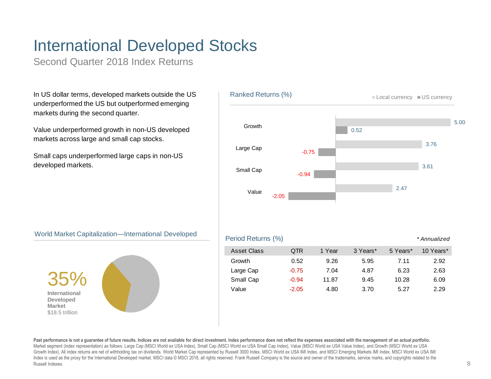# International Developed Stocks

Second Quarter 2018 Index Returns

In US dollar terms, developed markets outside the US underperformed the US but outperformed emerging markets during the second quarter.

Value underperformed growth in non-US developed markets across large and small cap stocks.

Small caps underperformed large caps in non-US developed markets.



### World Market Capitalization—International Developed



#### Period Returns (%) *\* Annualized*

|           |           | <b>Asset Class</b> | QTR     | 1 Year | 3 Years* | 5 Years* | 10 Years* |
|-----------|-----------|--------------------|---------|--------|----------|----------|-----------|
|           |           | Growth             | 0.52    | 9.26   | 5.95     | 7.11     | 2.92      |
| <b>35</b> | Large Cap | $-0.75$            | 7.04    | 4.87   | 6.23     | 2.63     |           |
|           |           | Small Cap          | $-0.94$ | 11.87  | 9.45     | 10.28    | 6.09      |
|           |           | Value              | $-2.05$ | 4.80   | 3.70     | 5.27     | 2.29      |
|           |           |                    |         |        |          |          |           |

Past performance is not a guarantee of future results. Indices are not available for direct investment. Index performance does not reflect the expenses associated with the management of an actual portfolio. Market segment (index representation) as follows: Large Cap (MSCI World ex USA Index), Small Cap (MSCI World ex USA Small Cap Index), Value (MSCI World ex USA Value Index), and Growth (MSCI World ex USA Growth Index). All index returns are net of withholding tax on dividends. World Market Cap represented by Russell 3000 Index, MSCI World ex USA IMI Index, and MSCI Emerging Markets IMI Index. MSCI World ex USA IMI Index is used as the proxy for the International Developed market. MSCI data © MSCI 2018, all rights reserved. Frank Russell Company is the source and owner of the trademarks, service marks, and copyrights related to the Russell Indexes.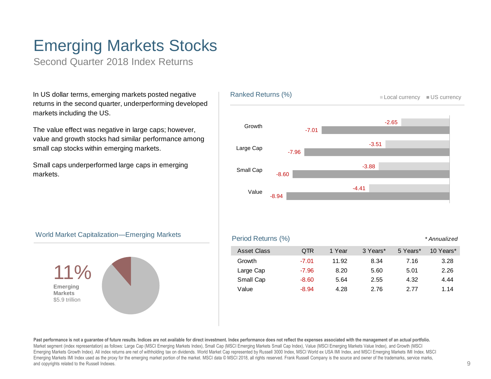# Emerging Markets Stocks

Second Quarter 2018 Index Returns

In US dollar terms, emerging markets posted negative returns in the second quarter, underperforming developed markets including the US.

The value effect was negative in large caps; however, value and growth stocks had similar performance among small cap stocks within emerging markets.

Small caps underperformed large caps in emerging markets.



### World Market Capitalization—Emerging Markets



#### Period Returns (%) *\* Annualized*

| <b>Asset Class</b> | <b>QTR</b> | 1 Year | 3 Years* | 5 Years* | 10 Years* |
|--------------------|------------|--------|----------|----------|-----------|
| Growth             | $-7.01$    | 11.92  | 8.34     | 7.16     | 3.28      |
| Large Cap          | $-7.96$    | 8.20   | 5.60     | 5.01     | 2.26      |
| Small Cap          | $-8.60$    | 5.64   | 2.55     | 4.32     | 4.44      |
| Value              | $-8.94$    | 4.28   | 2.76     | 2 77     | 1.14      |

Past performance is not a quarantee of future results. Indices are not available for direct investment. Index performance does not reflect the expenses associated with the management of an actual portfolio. Market segment (index representation) as follows: Large Cap (MSCI Emerging Markets Index), Small Cap (MSCI Emerging Markets Small Cap Index), Value (MSCI Emerging Markets Value Index), and Growth (MSCI Emerging Markets Growth Index). All index returns are net of withholding tax on dividends. World Market Cap represented by Russell 3000 Index, MSCI World ex USA IMI Index, and MSCI Emerging Markets IMI Index. MSCI Emerging Markets IMI Index used as the proxy for the emerging market portion of the market. MSCI data © MSCI 2018, all rights reserved. Frank Russell Company is the source and owner of the trademarks, service marks, and copyrights related to the Russell Indexes.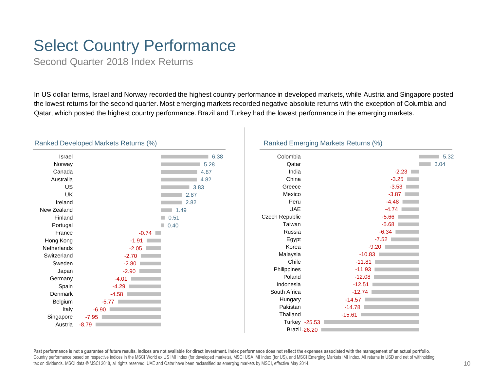# Select Country Performance

Second Quarter 2018 Index Returns

In US dollar terms, Israel and Norway recorded the highest country performance in developed markets, while Austria and Singapore posted the lowest returns for the second quarter. Most emerging markets recorded negative absolute returns with the exception of Columbia and Qatar, which posted the highest country performance. Brazil and Turkey had the lowest performance in the emerging markets.



#### Ranked Developed Markets Returns (%)

### Ranked Emerging Markets Returns (%)



**Past performance is not a guarantee of future results. Indices are not available for direct investment. Index performance does not reflect the expenses associated with the management of an actual portfolio**. Country performance based on respective indices in the MSCI World ex US IMI Index (for developed markets), MSCI USA IMI Index (for US), and MSCI Emerging Markets IMI Index. All returns in USD and net of withholding tax on dividends. MSCI data © MSCI 2018, all rights reserved. UAE and Qatar have been reclassified as emerging markets by MSCI, effective May 2014.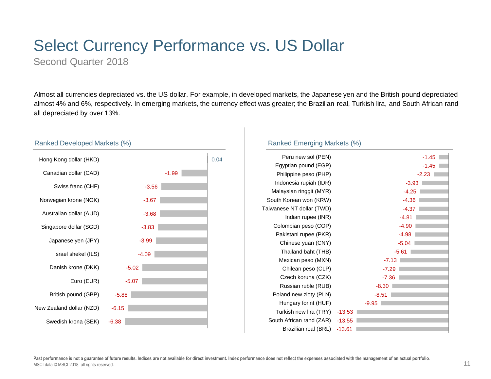# Select Currency Performance vs. US Dollar

Second Quarter 2018

Ranked Developed Markets (%)

Almost all currencies depreciated vs. the US dollar. For example, in developed markets, the Japanese yen and the British pound depreciated almost 4% and 6%, respectively. In emerging markets, the currency effect was greater; the Brazilian real, Turkish lira, and South African rand all depreciated by over 13%.

#### -1.99 -3.56 -3.67 -3.68 -3.83 -3.99 -4.09 -5.02 -5.07 -5.88 -6.15 -6.38 Hong Kong dollar (HKD)  $\Big| 0.04$ Canadian dollar (CAD) Swiss franc (CHF) Norwegian krone (NOK) Australian dollar (AUD) Singapore dollar (SGD) Japanese yen (JPY) Israel shekel (ILS) Danish krone (DKK) Euro (EUR) British pound (GBP) New Zealand dollar (NZD) Swedish krona (SEK)

### Ranked Emerging Markets (%)

| Peru new sol (PEN)        |          |         |         | $-1.45$ |
|---------------------------|----------|---------|---------|---------|
| Egyptian pound (EGP)      |          |         |         | $-1.45$ |
| Philippine peso (PHP)     |          |         |         | $-2.23$ |
| Indonesia rupiah (IDR)    |          |         | $-3.93$ |         |
| Malaysian ringgit (MYR)   |          |         | $-4.25$ |         |
| South Korean won (KRW)    |          |         | $-4.36$ |         |
| Taiwanese NT dollar (TWD) |          |         | $-4.37$ |         |
| Indian rupee (INR)        |          |         | $-4.81$ |         |
| Colombian peso (COP)      |          |         | $-4.90$ |         |
| Pakistani rupee (PKR)     |          |         | $-4.98$ |         |
| Chinese yuan (CNY)        |          |         | $-5.04$ |         |
| Thailand baht (THB)       |          |         | $-5.61$ |         |
| Mexican peso (MXN)        |          | $-7.13$ |         |         |
| Chilean peso (CLP)        |          | $-7.29$ |         |         |
| Czech koruna (CZK)        |          | $-7.36$ |         |         |
| Russian ruble (RUB)       |          | $-8.30$ |         |         |
| Poland new zloty (PLN)    |          | $-8.51$ |         |         |
| Hungary forint (HUF)      |          | $-9.95$ |         |         |
| Turkish new lira (TRY)    | $-13.53$ |         |         |         |
| South African rand (ZAR)  | $-13.55$ |         |         |         |
| Brazilian real (BRL)      | $-13.61$ |         |         |         |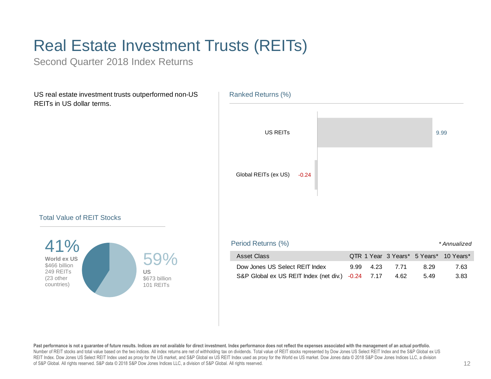# Real Estate Investment Trusts (REITs)

Second Quarter 2018 Index Returns

US real estate investment trusts outperformed non-US REITs in US dollar terms.



### Total Value of REIT Stocks



Past performance is not a quarantee of future results. Indices are not available for direct investment. Index performance does not reflect the expenses associated with the management of an actual portfolio. Number of REIT stocks and total value based on the two indices. All index returns are net of withholding tax on dividends. Total value of REIT stocks represented by Dow Jones US Select REIT Index and the S&P Global ex US REIT Index. Dow Jones US Select REIT Index used as proxy for the US market, and S&P Global ex US REIT Index used as proxy for the World ex US market. Dow Jones data © 2018 S&P Dow Jones Indices LLC, a division of S&P Global. All rights reserved. S&P data © 2018 S&P Dow Jones Indices LLC, a division of S&P Global. All rights reserved.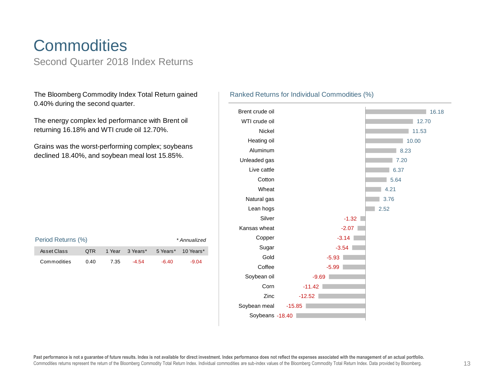# **Commodities**

Second Quarter 2018 Index Returns

The Bloomberg Commodity Index Total Return gained 0.40% during the second quarter.

The energy complex led performance with Brent oil returning 16.18% and WTI crude oil 12.70%.

Grains was the worst-performing complex; soybeans declined 18.40%, and soybean meal lost 15.85%.

| Period Returns (%) |      |      |                 |       | * Annualized       |
|--------------------|------|------|-----------------|-------|--------------------|
| Asset Class        | OTR. |      | 1 Year 3 Years* |       | 5 Years* 10 Years* |
| Commodities        | 0.40 | 7.35 | $-4.54$         | -6.40 | $-9.04$            |

### Ranked Returns for Individual Commodities (%)

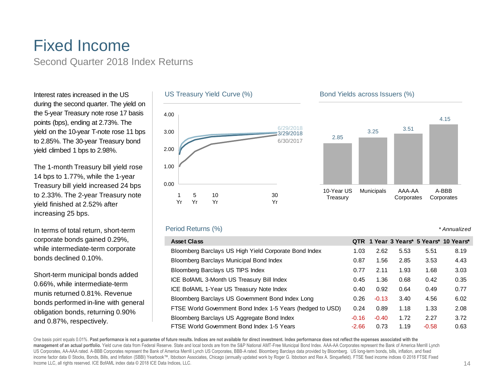## Fixed Income Second Quarter 2018 Index Returns

Interest rates increased in the US during the second quarter. The yield on the 5-year Treasury note rose 17 basis points (bps), ending at 2.73%. The yield on the 10-year T-note rose 11 bps to 2.85%. The 30-year Treasury bond yield climbed 1 bps to 2.98%.

The 1-month Treasury bill yield rose 14 bps to 1.77%, while the 1-year Treasury bill yield increased 24 bps to 2.33%. The 2-year Treasury note yield finished at 2.52% after increasing 25 bps.

In terms of total return, short-term corporate bonds gained 0.29%, while intermediate-term corporate bonds declined 0.10%.

Short-term municipal bonds added 0.66%, while intermediate-term munis returned 0.81%. Revenue bonds performed in-line with general obligation bonds, returning 0.90% and 0.87%, respectively.



### Period Returns (%)



**Corporates** 

### *\* Annualized*

**Corporates** 

| <b>Asset Class</b>                                         |         |         |      |         | QTR 1 Year 3 Years* 5 Years* 10 Years* |
|------------------------------------------------------------|---------|---------|------|---------|----------------------------------------|
| Bloomberg Barclays US High Yield Corporate Bond Index      | 1.03    | 2.62    | 5.53 | 5.51    | 8.19                                   |
| Bloomberg Barclays Municipal Bond Index                    | 0.87    | 1.56    | 2.85 | 3.53    | 4.43                                   |
| Bloomberg Barclays US TIPS Index                           | 0.77    | 2.11    | 1.93 | 1.68    | 3.03                                   |
| ICE BofAML 3-Month US Treasury Bill Index                  | 0.45    | 1.36    | 0.68 | 0.42    | 0.35                                   |
| ICE BofAML 1-Year US Treasury Note Index                   | 0.40    | 0.92    | 0.64 | 0.49    | 0.77                                   |
| Bloomberg Barclays US Government Bond Index Long           | 0.26    | $-0.13$ | 3.40 | 4.56    | 6.02                                   |
| FTSE World Government Bond Index 1-5 Years (hedged to USD) | 0.24    | 0.89    | 1.18 | 1.33    | 2.08                                   |
| Bloomberg Barclays US Aggregate Bond Index                 | $-0.16$ | $-0.40$ | 1.72 | 2.27    | 3.72                                   |
| FTSE World Government Bond Index 1-5 Years                 | $-2.66$ | 0.73    | 1.19 | $-0.58$ | 0.63                                   |

One basis point equals 0.01%. Past performance is not a guarantee of future results. Indices are not available for direct investment. Index performance does not reflect the expenses associated with the **management of an actual portfolio.** Yield curve data from Federal Reserve. State and local bonds are from the S&P National AMT-Free Municipal Bond Index. AAA-AA Corporates represent the Bank of America Merrill Lynch US Corporates, AA-AAA rated. A-BBB Corporates represent the Bank of America Merrill Lynch US Corporates, BBB-A rated. Bloomberg Barclays data provided by Bloomberg. US long-term bonds, bills, inflation, and fixed income factor data © Stocks, Bonds, Bills, and Inflation (SBBI) Yearbook™, Ibbotson Associates, Chicago (annually updated work by Roger G. Ibbotson and Rex A. Sinquefield). FTSE fixed income indices © 2018 FTSE Fixed Income LLC, all rights reserved. ICE BofAML index data © 2018 ICE Data Indices, LLC.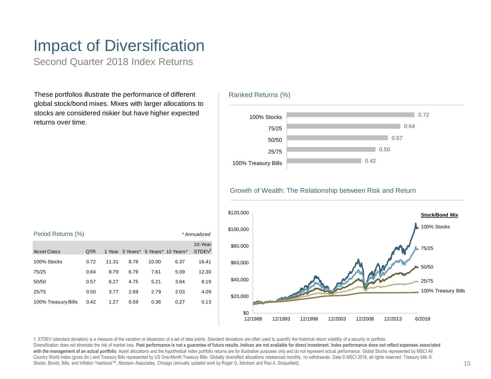# Impact of Diversification

Second Quarter 2018 Index Returns

These portfolios illustrate the performance of different global stock/bond mixes. Mixes with larger allocations to stocks are considered riskier but have higher expected returns over time.





Growth of Wealth: The Relationship between Risk and Return



1. STDEV (standard deviation) is a measure of the variation or dispersion of a set of data points. Standard deviations are often used to quantify the historical return volatility of a security or portfolio. Diversification does not eliminate the risk of market loss. Past performance is not a guarantee of future results. Indices are not available for direct investment. Index performance does not reflect expenses associated with the management of an actual portfolio. Asset allocations and the hypothetical index portfolio returns are for illustrative purposes only and do not represent actual performance. Global Stocks represented by MSCI All Country World Index (gross div.) and Treasury Bills represented by US One-Month Treasury Bills. Globally diversified allocations rebalanced monthly, no withdrawals. Data © MSCI 2018, all rights reserved. Treasury bills © Stocks, Bonds, Bills, and Inflation Yearbook™, Ibbotson Associates, Chicago (annually updated work by Roger G. Ibbotson and Rex A. Sinquefield).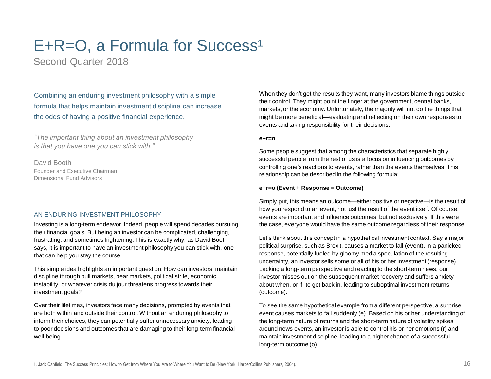# $E+R=O$ , a Formula for Success<sup>1</sup>

Second Quarter 2018

Combining an enduring investment philosophy with a simple formula that helps maintain investment discipline can increase the odds of having a positive financial experience.

*"The important thing about an investment philosophy is that you have one you can stick with."*

David Booth Founder and Executive Chairman Dimensional Fund Advisors

### AN ENDURING INVESTMENT PHILOSOPHY

Investing is a long-term endeavor. Indeed, people will spend decades pursuing their financial goals. But being an investor can be complicated, challenging, frustrating, and sometimes frightening. This is exactly why, as David Booth says, it is important to have an investment philosophy you can stick with, one that can help you stay the course.

This simple idea highlights an important question: How can investors, maintain discipline through bull markets, bear markets, political strife, economic instability, or whatever crisis du jour threatens progress towards their investment goals?

Over their lifetimes, investors face many decisions, prompted by events that are both within and outside their control. Without an enduring philosophy to inform their choices, they can potentially suffer unnecessary anxiety, leading to poor decisions and outcomes that are damaging to their long-term financial well-being.

When they don't get the results they want, many investors blame things outside their control. They might point the finger at the government, central banks, markets, or the economy. Unfortunately, the majority will not do the things that might be more beneficial—evaluating and reflecting on their own responses to events and taking responsibility for their decisions.

#### **e+r=o**

Some people suggest that among the characteristics that separate highly successful people from the rest of us is a focus on influencing outcomes by controlling one's reactions to events, rather than the events themselves. This relationship can be described in the following formula:

#### **e+r=o (Event + Response = Outcome)**

Simply put, this means an outcome—either positive or negative—is the result of how you respond to an event, not just the result of the event itself. Of course, events are important and influence outcomes, but not exclusively. If this were the case, everyone would have the same outcome regardless of their response.

Let's think about this concept in a hypothetical investment context. Say a major political surprise, such as Brexit, causes a market to fall (event). In a panicked response, potentially fueled by gloomy media speculation of the resulting uncertainty, an investor sells some or all of his or her investment (response). Lacking a long-term perspective and reacting to the short-term news, our investor misses out on the subsequent market recovery and suffers anxiety about when, or if, to get back in, leading to suboptimal investment returns (outcome).

To see the same hypothetical example from a different perspective, a surprise event causes markets to fall suddenly (e). Based on his or her understanding of the long-term nature of returns and the short-term nature of volatility spikes around news events, an investor is able to control his or her emotions (r) and maintain investment discipline, leading to a higher chance of a successful long-term outcome (o).

<sup>1.</sup> Jack Canfield, The Success Principles: How to Get from Where You Are to Where You Want to Be (New York: HarperCollins Publishers, 2004). 16